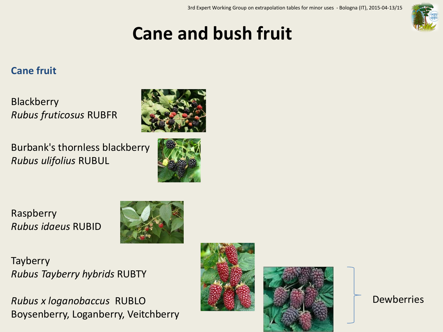

# **Cane and bush fruit**

## **Cane fruit**

**Blackberry** *Rubus fruticosus* RUBFR

Burbank's thornless blackberry *Rubus ulifolius* RUBUL





Raspberry *Rubus idaeus* RUBID



**Tayberry** *Rubus Tayberry hybrids* RUBTY

*Rubus x loganobaccus* RUBLO Boysenberry, Loganberry, Veitchberry





Dewberries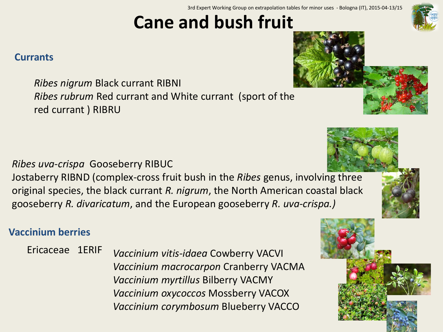3rd Expert Working Group on extrapolation tables for minor uses - Bologna (IT), 2015-04-13/15

# **Cane and bush fruit**

## **Currants**

*Ribes nigrum* Black currant RIBNI *Ribes rubrum* Red currant and White currant (sport of the red currant ) RIBRU

# *Ribes uva-crispa* Gooseberry RIBUC

Jostaberry RIBND (complex-cross fruit bush in the *Ribes* genus, involving three original species, the black currant *R. nigrum*, the North American coastal black gooseberry *R. divaricatum*, and the European gooseberry *R. uva-crispa.)*

# **Vaccinium berries**

Ericaceae 1ERIF *Vaccinium vitis-idaea* Cowberry VACVI *Vaccinium macrocarpon* Cranberry VACMA *Vaccinium myrtillus* Bilberry VACMY *Vaccinium oxycoccos* Mossberry VACOX *Vaccinium corymbosum* Blueberry VACCO









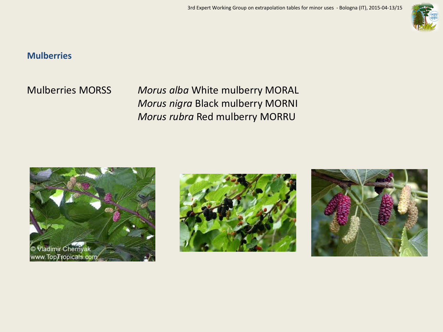

#### **Mulberries**

Mulberries MORSS *Morus alba* White mulberry MORAL *Morus nigra* Black mulberry MORNI *Morus rubra* Red mulberry MORRU